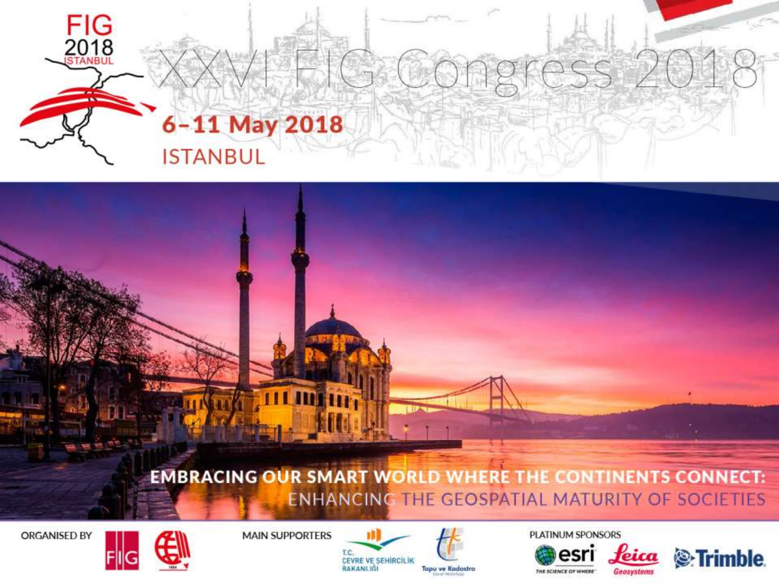

#### **EMBRACING OUR SMART WORLD WHERE THE CONTINENTS CONNECT: ENHANCING THE GEOSPATIAL MATURITY OF SOCIETIES**





**MAIN SUPPORTERS** 



PLATINUM SPONSORS



Geosystems

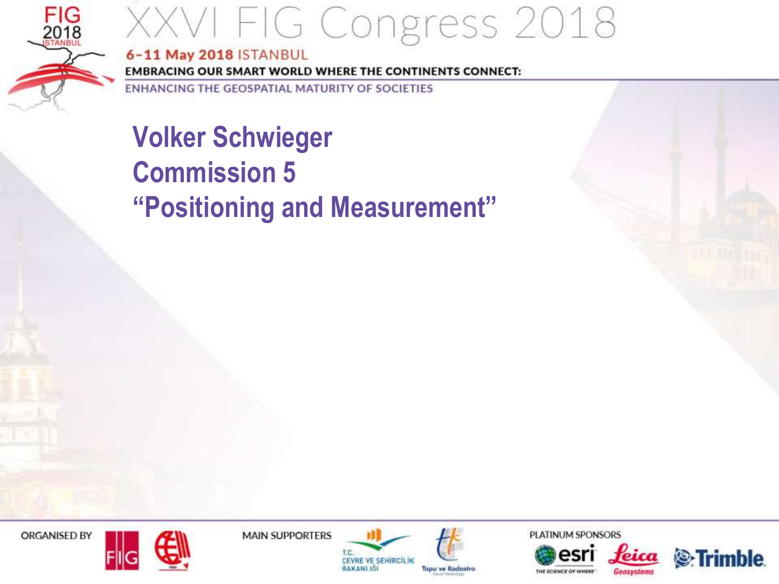

6-11 May 2018 ISTANBUL **EMBRACING OUR SMART WORLD WHERE THE CONTINENTS CONNECT:** 

ENHANCING THE GEOSPATIAL MATURITY OF SOCIETIES

### **Volker Schwieger Commission 5** "Positioning and Measurement"

ORGANISED BY



**MAIN SUPPORTERS** 







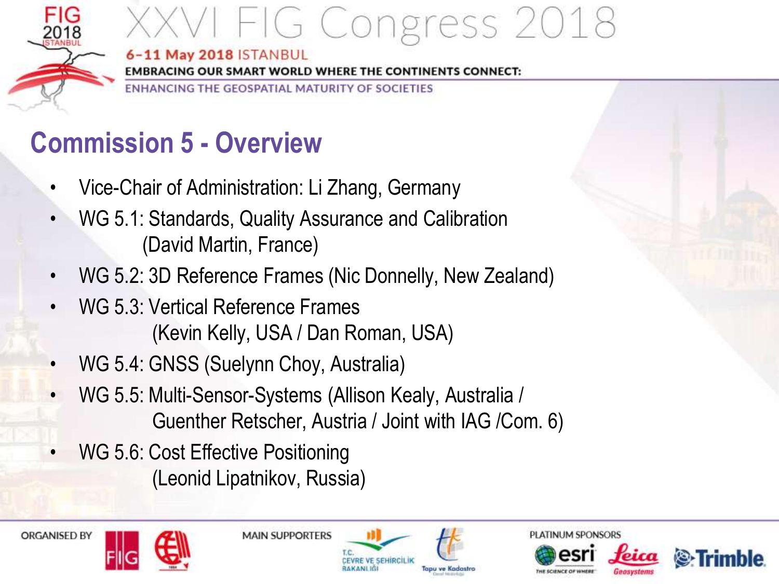

### <sup>/</sup>I FIG Congress 2018 6-11 May 2018 ISTANBUL

**EMBRACING OUR SMART WORLD WHERE THE CONTINENTS CONNECT:** 

ENHANCING THE GEOSPATIAL MATURITY OF SOCIETIES

### **Commission 5 - Overview**

- Vice-Chair of Administration: Li Zhang, Germany
- WG 5.1: Standards, Quality Assurance and Calibration (David Martin, France)
- WG 5.2: 3D Reference Frames (Nic Donnelly, New Zealand)
- WG 5.3: Vertical Reference Frames (Kevin Kelly, USA / Dan Roman, USA)
- WG 5.4: GNSS (Suelynn Choy, Australia)
- WG 5.5: Multi-Sensor-Systems (Allison Kealy, Australia / Guenther Retscher, Austria / Joint with IAG /Com. 6)
- WG 5.6: Cost Effective Positioning (Leonid Lipatnikov, Russia)









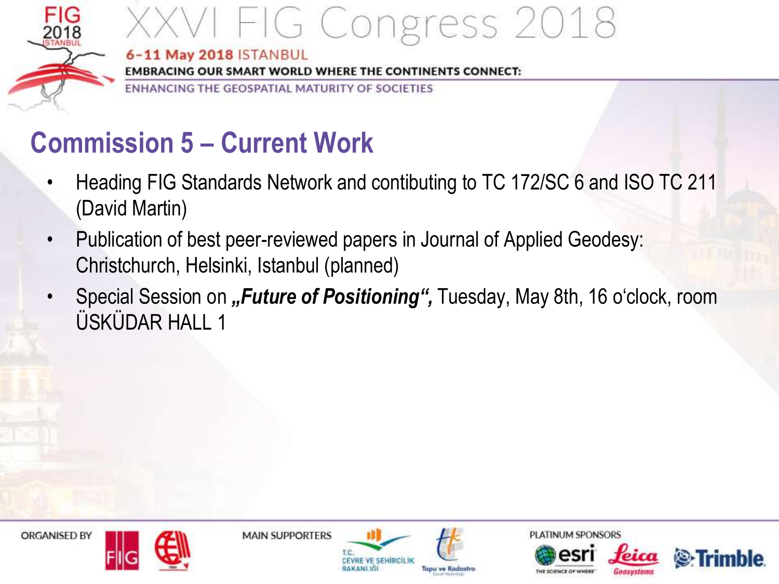

#### VI FIG Congress 2018 6-11 May 2018 ISTANBUL

**EMBRACING OUR SMART WORLD WHERE THE CONTINENTS CONNECT:** 

ENHANCING THE GEOSPATIAL MATURITY OF SOCIETIES

### **Commission 5 – Current Work**

- Heading FIG Standards Network and contibuting to TC 172/SC 6 and ISO TC 211 (David Martin)
- Publication of best peer-reviewed papers in Journal of Applied Geodesy: Christchurch, Helsinki, Istanbul (planned)
- Special Session on "*Future of Positioning"*, Tuesday, May 8th, 16 o'clock, room ÜSKÜDAR HALL 1

**ORGANISED BY** 



**MAIN SUPPORTERS** 



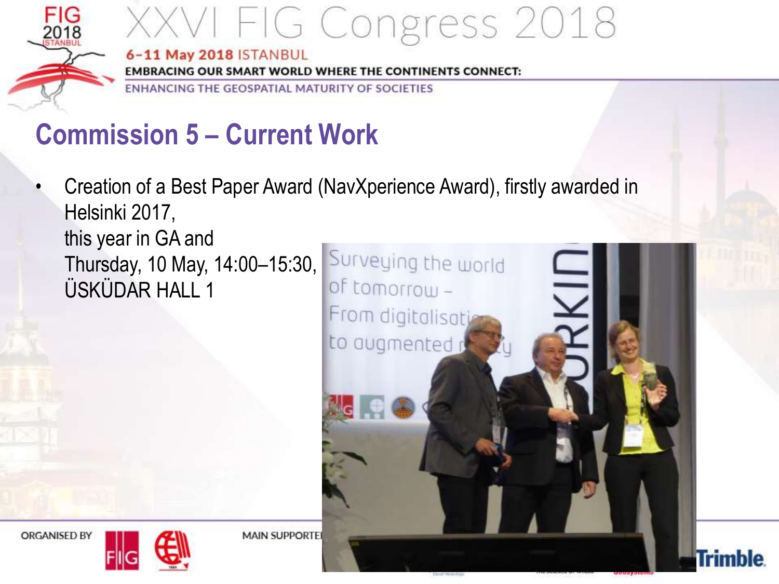

### XXVI FIG Congress 2018 6-11 May 2018 ISTANBUL

**EMBRACING OUR SMART WORLD WHERE THE CONTINENTS CONNECT:** 

ENHANCING THE GEOSPATIAL MATURITY OF SOCIETIES

### **Commission 5 – Current Work**

• Creation of a Best Paper Award (NavXperience Award), firstly awarded in Helsinki 2017, this year in GA and Thursday, 10 May, 14:00-15:30, Surveying the world ÜSKÜDAR HALL 1of tomorrow-



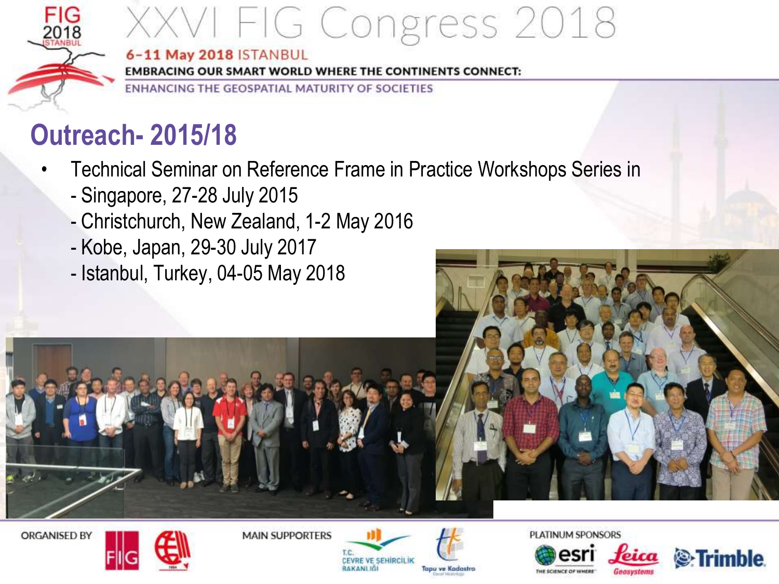

#### 6-11 May 2018 ISTANBUL

**EMBRACING OUR SMART WORLD WHERE THE CONTINENTS CONNECT:** 

ENHANCING THE GEOSPATIAL MATURITY OF SOCIETIES

### **Outreach- 2015/18**

- Technical Seminar on Reference Frame in Practice Workshops Series in
	- Singapore, 27-28 July 2015
	- Christchurch, New Zealand, 1-2 May 2016
	- Kobe, Japan, 29-30 July 2017
	- Istanbul, Turkey, 04-05 May 2018



**ORGANISED BY** 



**MAIN SUPPORTERS** 





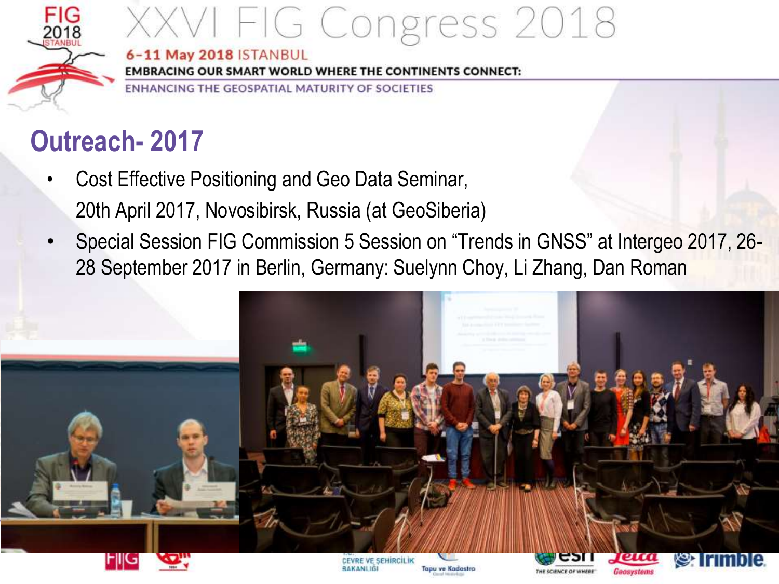

#### 6-11 May 2018 ISTANBUL

**EMBRACING OUR SMART WORLD WHERE THE CONTINENTS CONNECT:** 

ENHANCING THE GEOSPATIAL MATURITY OF SOCIETIES

### **Outreach- 2017**

- Cost Effective Positioning and Geo Data Seminar, 20th April 2017, Novosibirsk, Russia (at GeoSiberia)
- Special Session FIG Commission 5 Session on "Trends in GNSS" at Intergeo 2017, 26- 28 September 2017 in Berlin, Germany: Suelynn Choy, Li Zhang, Dan Roman

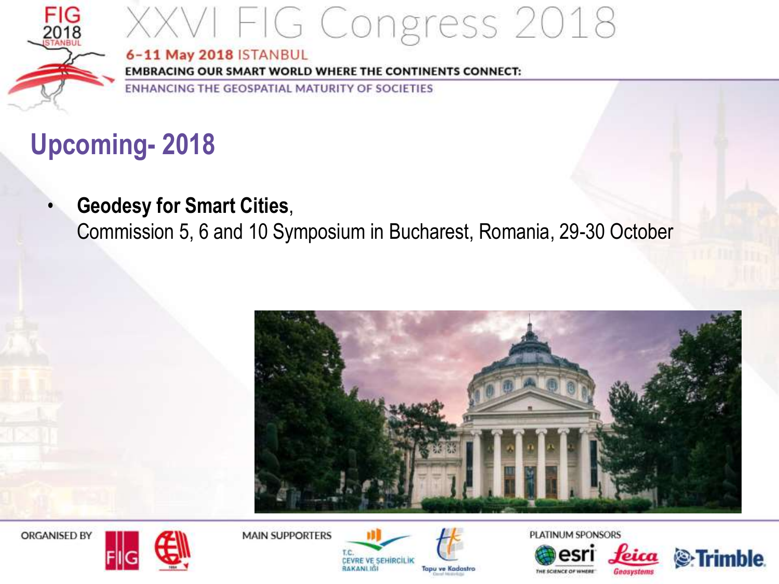

#### 6-11 May 2018 ISTANBUL

**EMBRACING OUR SMART WORLD WHERE THE CONTINENTS CONNECT:** 

ENHANCING THE GEOSPATIAL MATURITY OF SOCIETIES

### **Upcoming- 2018**

• **Geodesy for Smart Cities**,

Commission 5, 6 and 10 Symposium in Bucharest, Romania, 29-30 October



ORGANISED BY



**MAIN SUPPORTERS** 





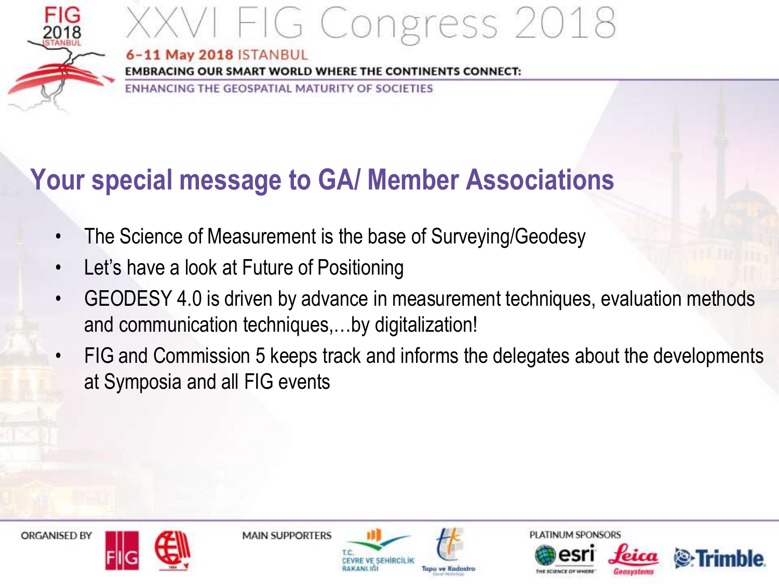

# /I FIG Congress 2018

6-11 May 2018 ISTANBUL

**EMBRACING OUR SMART WORLD WHERE THE CONTINENTS CONNECT:** 

ENHANCING THE GEOSPATIAL MATURITY OF SOCIETIES

### **Your special message to GA/ Member Associations**

- The Science of Measurement is the base of Surveying/Geodesy
- Let's have a look at Future of Positioning
- GEODESY 4.0 is driven by advance in measurement techniques, evaluation methods and communication techniques,…by digitalization!
- FIG and Commission 5 keeps track and informs the delegates about the developments at Symposia and all FIG events





**MAIN SUPPORTERS**